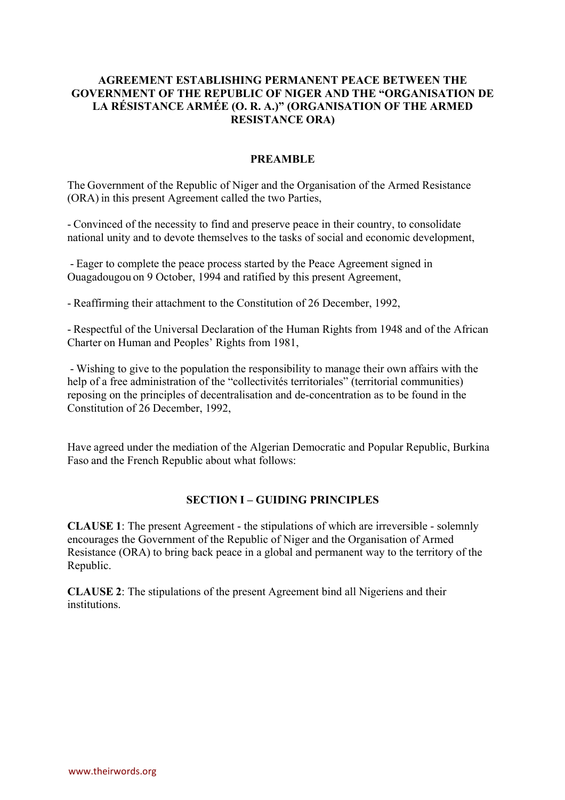### **AGREEMENT ESTABLISHING PERMANENT PEACE BETWEEN THE GOVERNMENT OF THE REPUBLIC OF NIGER AND THE "ORGANISATION DE LA RÉSISTANCE ARMÉE (O. R. A.)" (ORGANISATION OF THE ARMED RESISTANCE ORA)**

#### **PREAMBLE**

The Government of the Republic of Niger and the Organisation of the Armed Resistance (ORA) in this present Agreement called the two Parties,

- Convinced of the necessity to find and preserve peace in their country, to consolidate national unity and to devote themselves to the tasks of social and economic development,

- Eager to complete the peace process started by the Peace Agreement signed in Ouagadougou on 9 October, 1994 and ratified by this present Agreement,

- Reaffirming their attachment to the Constitution of 26 December, 1992,

- Respectful of the Universal Declaration of the Human Rights from 1948 and of the African Charter on Human and Peoples' Rights from 1981,

- Wishing to give to the population the responsibility to manage their own affairs with the help of a free administration of the "collectivités territoriales" (territorial communities) reposing on the principles of decentralisation and de-concentration as to be found in the Constitution of 26 December, 1992,

Have agreed under the mediation of the Algerian Democratic and Popular Republic, Burkina Faso and the French Republic about what follows:

#### **SECTION I – GUIDING PRINCIPLES**

**CLAUSE 1**: The present Agreement - the stipulations of which are irreversible - solemnly encourages the Government of the Republic of Niger and the Organisation of Armed Resistance (ORA) to bring back peace in a global and permanent way to the territory of the Republic.

**CLAUSE 2**: The stipulations of the present Agreement bind all Nigeriens and their institutions.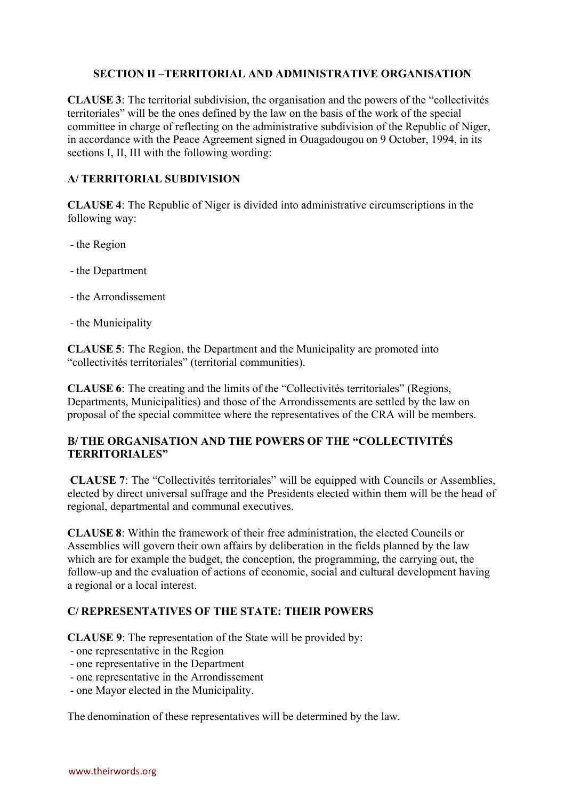### **SECTION II –TERRITORIAL AND ADMINISTRATIVE ORGANISATION**

**CLAUSE 3**: The territorial subdivision, the organisation and the powers of the "collectivités territoriales" will be the ones defined by the law on the basis of the work of the special committee in charge of reflecting on the administrative subdivision of the Republic of Niger, in accordance with the Peace Agreement signed in Ouagadougou on 9 October, 1994, in its sections I, II, III with the following wording:

#### **A/ TERRITORIAL SUBDIVISION**

**CLAUSE 4**: The Republic of Niger is divided into administrative circumscriptions in the following way:

- the Region
- the Department
- the Arrondissement
- the Municipality

**CLAUSE 5**: The Region, the Department and the Municipality are promoted into "collectivités territoriales" (territorial communities).

**CLAUSE 6**: The creating and the limits of the "Collectivités territoriales" (Regions, Departments, Municipalities) and those of the Arrondissements are settled by the law on proposal of the special committee where the representatives of the CRA will be members.

### **B/ THE ORGANISATION AND THE POWERS OF THE "COLLECTIVITÉS TERRITORIALES"**

**CLAUSE 7**: The "Collectivités territoriales" will be equipped with Councils or Assemblies, elected by direct universal suffrage and the Presidents elected within them will be the head of regional, departmental and communal executives.

**CLAUSE 8**: Within the framework of their free administration, the elected Councils or Assemblies will govern their own affairs by deliberation in the fields planned by the law which are for example the budget, the conception, the programming, the carrying out, the follow-up and the evaluation of actions of economic, social and cultural development having a regional or a local interest.

## **C/ REPRESENTATIVES OF THE STATE: THEIR POWERS**

**CLAUSE 9**: The representation of the State will be provided by:

- one representative in the Region
- one representative in the Department
- one representative in the Arrondissement
- one Mayor elected in the Municipality.

The denomination of these representatives will be determined by the law.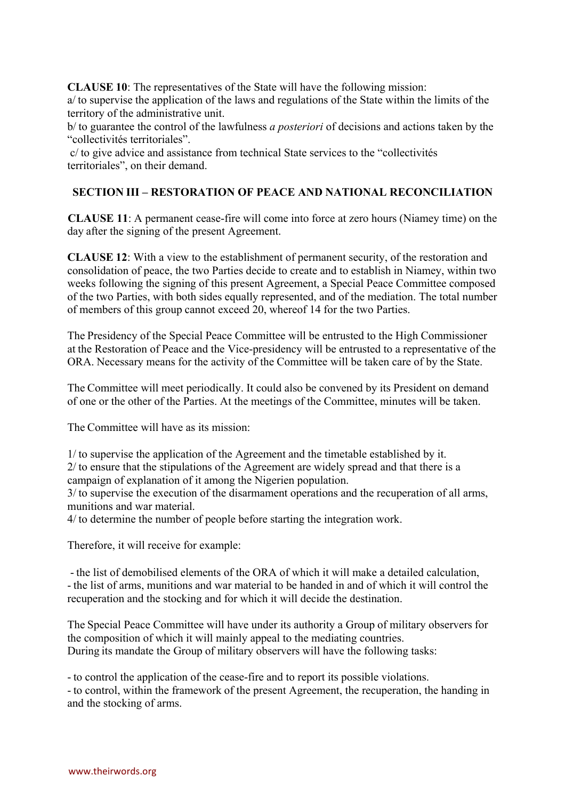**CLAUSE 10**: The representatives of the State will have the following mission:

a/ to supervise the application of the laws and regulations of the State within the limits of the territory of the administrative unit.

b/ to guarantee the control of the lawfulness *a posteriori* of decisions and actions taken by the "collectivités territoriales".

c/ to give advice and assistance from technical State services to the "collectivités territoriales", on their demand.

## **SECTION III – RESTORATION OF PEACE AND NATIONAL RECONCILIATION**

**CLAUSE 11**: A permanent cease-fire will come into force at zero hours (Niamey time) on the day after the signing of the present Agreement.

**CLAUSE 12**: With a view to the establishment of permanent security, of the restoration and consolidation of peace, the two Parties decide to create and to establish in Niamey, within two weeks following the signing of this present Agreement, a Special Peace Committee composed of the two Parties, with both sides equally represented, and of the mediation. The total number of members of this group cannot exceed 20, whereof 14 for the two Parties.

The Presidency of the Special Peace Committee will be entrusted to the High Commissioner at the Restoration of Peace and the Vice-presidency will be entrusted to a representative of the ORA. Necessary means for the activity of the Committee will be taken care of by the State.

The Committee will meet periodically. It could also be convened by its President on demand of one or the other of the Parties. At the meetings of the Committee, minutes will be taken.

The Committee will have as its mission:

1/ to supervise the application of the Agreement and the timetable established by it. 2/ to ensure that the stipulations of the Agreement are widely spread and that there is a campaign of explanation of it among the Nigerien population.

3/ to supervise the execution of the disarmament operations and the recuperation of all arms, munitions and war material.

4/ to determine the number of people before starting the integration work.

Therefore, it will receive for example:

- the list of demobilised elements of the ORA of which it will make a detailed calculation, - the list of arms, munitions and war material to be handed in and of which it will control the recuperation and the stocking and for which it will decide the destination.

The Special Peace Committee will have under its authority a Group of military observers for the composition of which it will mainly appeal to the mediating countries. During its mandate the Group of military observers will have the following tasks:

- to control the application of the cease-fire and to report its possible violations.

- to control, within the framework of the present Agreement, the recuperation, the handing in and the stocking of arms.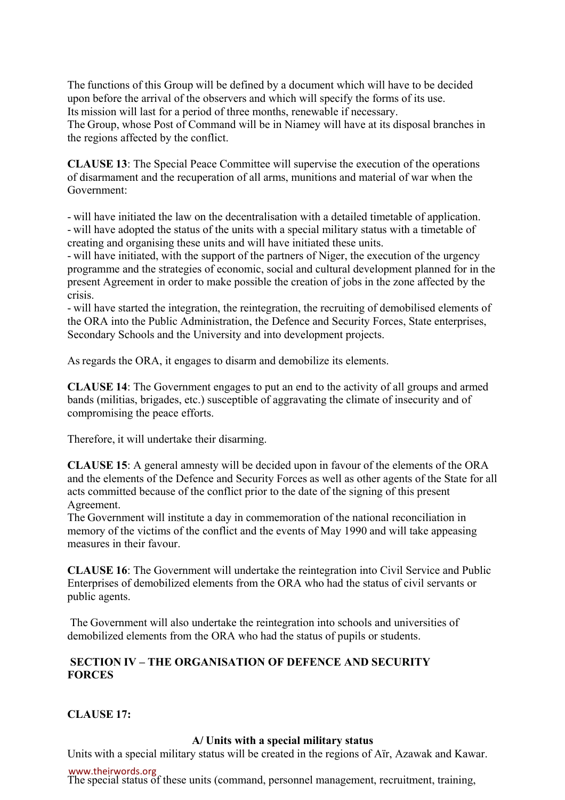The functions of this Group will be defined by a document which will have to be decided upon before the arrival of the observers and which will specify the forms of its use. Its mission will last for a period of three months, renewable if necessary. The Group, whose Post of Command will be in Niamey will have at its disposal branches in the regions affected by the conflict.

**CLAUSE 13**: The Special Peace Committee will supervise the execution of the operations of disarmament and the recuperation of all arms, munitions and material of war when the Government:

- will have initiated the law on the decentralisation with a detailed timetable of application. - will have adopted the status of the units with a special military status with a timetable of creating and organising these units and will have initiated these units.

- will have initiated, with the support of the partners of Niger, the execution of the urgency programme and the strategies of economic, social and cultural development planned for in the present Agreement in order to make possible the creation of jobs in the zone affected by the crisis.

- will have started the integration, the reintegration, the recruiting of demobilised elements of the ORA into the Public Administration, the Defence and Security Forces, State enterprises, Secondary Schools and the University and into development projects.

As regards the ORA, it engages to disarm and demobilize its elements.

**CLAUSE 14**: The Government engages to put an end to the activity of all groups and armed bands (militias, brigades, etc.) susceptible of aggravating the climate of insecurity and of compromising the peace efforts.

Therefore, it will undertake their disarming.

**CLAUSE 15**: A general amnesty will be decided upon in favour of the elements of the ORA and the elements of the Defence and Security Forces as well as other agents of the State for all acts committed because of the conflict prior to the date of the signing of this present Agreement.

The Government will institute a day in commemoration of the national reconciliation in memory of the victims of the conflict and the events of May 1990 and will take appeasing measures in their favour.

**CLAUSE 16**: The Government will undertake the reintegration into Civil Service and Public Enterprises of demobilized elements from the ORA who had the status of civil servants or public agents.

The Government will also undertake the reintegration into schools and universities of demobilized elements from the ORA who had the status of pupils or students.

## **SECTION IV – THE ORGANISATION OF DEFENCE AND SECURITY FORCES**

**CLAUSE 17:**

## **A/ Units with a special military status**

Units with a special military status will be created in the regions of Aïr, Azawak and Kawar.

www.theirwords.org

The special status of these units (command, personnel management, recruitment, training,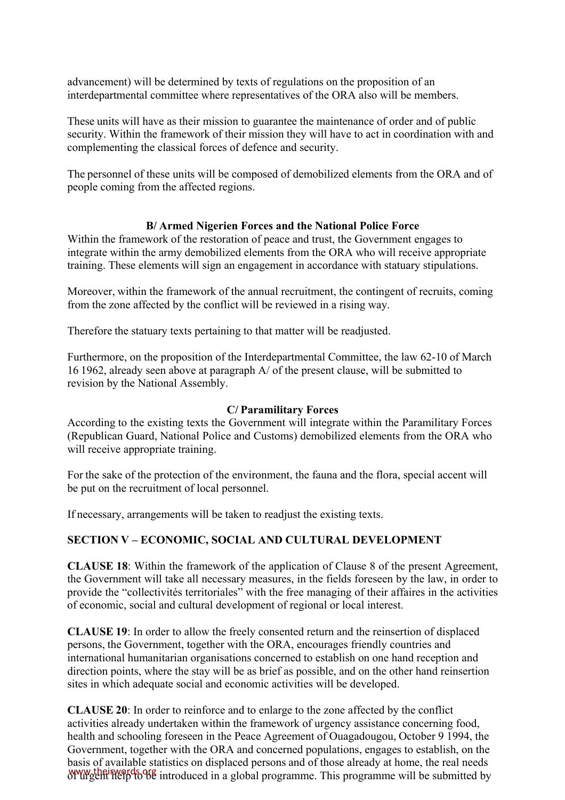advancement) will be determined by texts of regulations on the proposition of an interdepartmental committee where representatives of the ORA also will be members.

These units will have as their mission to guarantee the maintenance of order and of public security. Within the framework of their mission they will have to act in coordination with and complementing the classical forces of defence and security.

The personnel of these units will be composed of demobilized elements from the ORA and of people coming from the affected regions.

#### **B/ Armed Nigerien Forces and the National Police Force**

Within the framework of the restoration of peace and trust, the Government engages to integrate within the army demobilized elements from the ORA who will receive appropriate training. These elements will sign an engagement in accordance with statuary stipulations.

Moreover, within the framework of the annual recruitment, the contingent of recruits, coming from the zone affected by the conflict will be reviewed in a rising way.

Therefore the statuary texts pertaining to that matter will be readjusted.

Furthermore, on the proposition of the Interdepartmental Committee, the law 62-10 of March 16 1962, already seen above at paragraph A/ of the present clause, will be submitted to revision by the National Assembly.

#### **C/ Paramilitary Forces**

According to the existing texts the Government will integrate within the Paramilitary Forces (Republican Guard, National Police and Customs) demobilized elements from the ORA who will receive appropriate training.

For the sake of the protection of the environment, the fauna and the flora, special accent will be put on the recruitment of local personnel.

If necessary, arrangements will be taken to readjust the existing texts.

#### **SECTION V – ECONOMIC, SOCIAL AND CULTURAL DEVELOPMENT**

**CLAUSE 18**: Within the framework of the application of Clause 8 of the present Agreement, the Government will take all necessary measures, in the fields foreseen by the law, in order to provide the "collectivités territoriales" with the free managing of their affaires in the activities of economic, social and cultural development of regional or local interest.

**CLAUSE 19**: In order to allow the freely consented return and the reinsertion of displaced persons, the Government, together with the ORA, encourages friendly countries and international humanitarian organisations concerned to establish on one hand reception and direction points, where the stay will be as brief as possible, and on the other hand reinsertion sites in which adequate social and economic activities will be developed.

**CLAUSE 20**: In order to reinforce and to enlarge to the zone affected by the conflict activities already undertaken within the framework of urgency assistance concerning food, health and schooling foreseen in the Peace Agreement of Ouagadougou, October 9 1994, the Government, together with the ORA and concerned populations, engages to establish, on the basis of available statistics on displaced persons and of those already at home, the real needs www.theirwords.org/www.theirwords.org/www.theirwords.org/www.theirwords.org/www.theirwords.org/www.theirwords.org/www.theirwords.org/www.theirwords.org/www.theirwords.org/www.theirwords.org/www.theirwords.org/www.theirword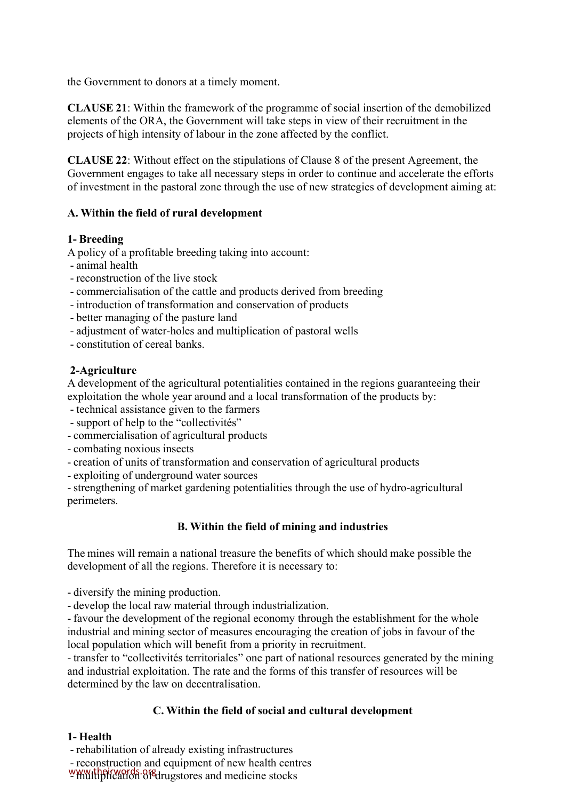the Government to donors at a timely moment.

**CLAUSE 21**: Within the framework of the programme of social insertion of the demobilized elements of the ORA, the Government will take steps in view of their recruitment in the projects of high intensity of labour in the zone affected by the conflict.

**CLAUSE 22**: Without effect on the stipulations of Clause 8 of the present Agreement, the Government engages to take all necessary steps in order to continue and accelerate the efforts of investment in the pastoral zone through the use of new strategies of development aiming at:

# **A. Within the field of rural development**

## **1- Breeding**

A policy of a profitable breeding taking into account:

- animal health
- reconstruction of the live stock
- commercialisation of the cattle and products derived from breeding
- introduction of transformation and conservation of products
- better managing of the pasture land
- adjustment of water-holes and multiplication of pastoral wells
- constitution of cereal banks.

# **2-Agriculture**

A development of the agricultural potentialities contained in the regions guaranteeing their exploitation the whole year around and a local transformation of the products by:

- technical assistance given to the farmers
- support of help to the "collectivités"
- commercialisation of agricultural products
- combating noxious insects
- creation of units of transformation and conservation of agricultural products
- exploiting of underground water sources

- strengthening of market gardening potentialities through the use of hydro-agricultural perimeters.

## **B. Within the field of mining and industries**

The mines will remain a national treasure the benefits of which should make possible the development of all the regions. Therefore it is necessary to:

- diversify the mining production.

- develop the local raw material through industrialization.

- favour the development of the regional economy through the establishment for the whole industrial and mining sector of measures encouraging the creation of jobs in favour of the local population which will benefit from a priority in recruitment.

- transfer to "collectivités territoriales" one part of national resources generated by the mining and industrial exploitation. The rate and the forms of this transfer of resources will be determined by the law on decentralisation.

# **C. Within the field of social and cultural development**

## **1- Health**

- rehabilitation of already existing infrastructures

- reconstruction and equipment of new health centres

www.theirwords.org/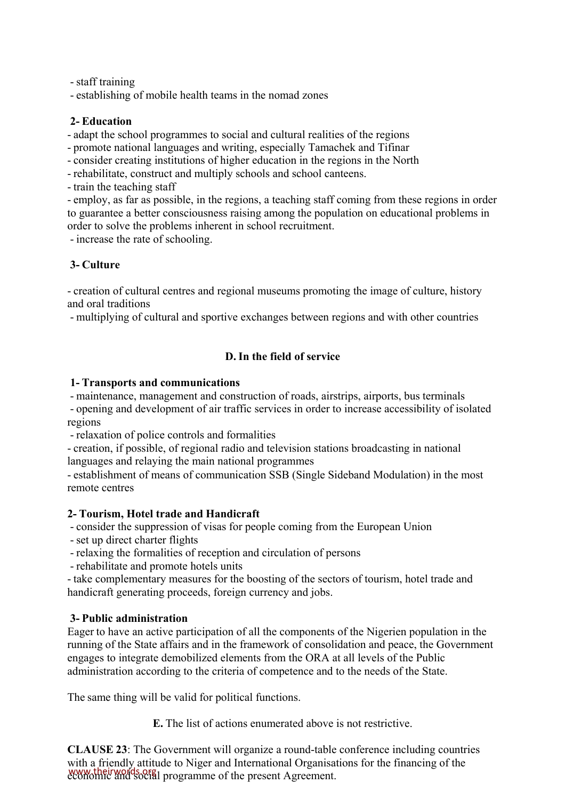- staff training

- establishing of mobile health teams in the nomad zones

#### **2- Education**

- adapt the school programmes to social and cultural realities of the regions

- promote national languages and writing, especially Tamachek and Tifinar

- consider creating institutions of higher education in the regions in the North

- rehabilitate, construct and multiply schools and school canteens.

- train the teaching staff

- employ, as far as possible, in the regions, a teaching staff coming from these regions in order to guarantee a better consciousness raising among the population on educational problems in order to solve the problems inherent in school recruitment.

- increase the rate of schooling.

# **3- Culture**

- creation of cultural centres and regional museums promoting the image of culture, history and oral traditions

- multiplying of cultural and sportive exchanges between regions and with other countries

## **D. In the field of service**

#### **1- Transports and communications**

- maintenance, management and construction of roads, airstrips, airports, bus terminals

- opening and development of air traffic services in order to increase accessibility of isolated regions

- relaxation of police controls and formalities

- creation, if possible, of regional radio and television stations broadcasting in national languages and relaying the main national programmes

- establishment of means of communication SSB (Single Sideband Modulation) in the most remote centres

## **2- Tourism, Hotel trade and Handicraft**

- consider the suppression of visas for people coming from the European Union

- set up direct charter flights

- relaxing the formalities of reception and circulation of persons

- rehabilitate and promote hotels units

- take complementary measures for the boosting of the sectors of tourism, hotel trade and handicraft generating proceeds, foreign currency and jobs.

## **3- Public administration**

Eager to have an active participation of all the components of the Nigerien population in the running of the State affairs and in the framework of consolidation and peace, the Government engages to integrate demobilized elements from the ORA at all levels of the Public administration according to the criteria of competence and to the needs of the State.

The same thing will be valid for political functions.

**E.** The list of actions enumerated above is not restrictive.

**CLAUSE 23**: The Government will organize a round-table conference including countries with a friendly attitude to Niger and International Organisations for the financing of the www.theirwords.org<br>economic and social programme of the present Agreement.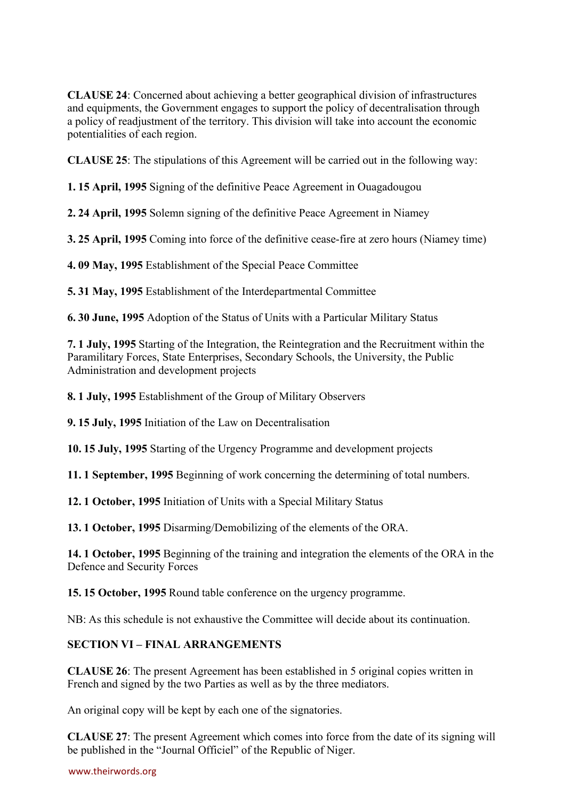**CLAUSE 24**: Concerned about achieving a better geographical division of infrastructures and equipments, the Government engages to support the policy of decentralisation through a policy of readjustment of the territory. This division will take into account the economic potentialities of each region.

**CLAUSE 25**: The stipulations of this Agreement will be carried out in the following way:

**1. 15 April, 1995** Signing of the definitive Peace Agreement in Ouagadougou

**2. 24 April, 1995** Solemn signing of the definitive Peace Agreement in Niamey

**3. 25 April, 1995** Coming into force of the definitive cease-fire at zero hours (Niamey time)

**4. 09 May, 1995** Establishment of the Special Peace Committee

**5. 31 May, 1995** Establishment of the Interdepartmental Committee

**6. 30 June, 1995** Adoption of the Status of Units with a Particular Military Status

**7. 1 July, 1995** Starting of the Integration, the Reintegration and the Recruitment within the Paramilitary Forces, State Enterprises, Secondary Schools, the University, the Public Administration and development projects

**8. 1 July, 1995** Establishment of the Group of Military Observers

**9. 15 July, 1995** Initiation of the Law on Decentralisation

**10. 15 July, 1995** Starting of the Urgency Programme and development projects

**11. 1 September, 1995** Beginning of work concerning the determining of total numbers.

**12. 1 October, 1995** Initiation of Units with a Special Military Status

**13. 1 October, 1995** Disarming/Demobilizing of the elements of the ORA.

**14. 1 October, 1995** Beginning of the training and integration the elements of the ORA in the Defence and Security Forces

**15. 15 October, 1995** Round table conference on the urgency programme.

NB: As this schedule is not exhaustive the Committee will decide about its continuation.

#### **SECTION VI – FINAL ARRANGEMENTS**

**CLAUSE 26**: The present Agreement has been established in 5 original copies written in French and signed by the two Parties as well as by the three mediators.

An original copy will be kept by each one of the signatories.

**CLAUSE 27**: The present Agreement which comes into force from the date of its signing will be published in the "Journal Officiel" of the Republic of Niger.